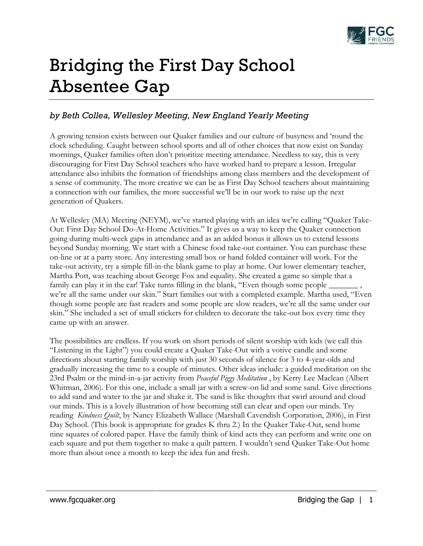

## Bridging the First Day School Absentee Gap

## *by Beth Collea, Wellesley Meeting, New England Yearly Meeting*

A growing tension exists between our Quaker families and our culture of busyness and 'round the clock scheduling. Caught between school sports and all of other choices that now exist on Sunday mornings, Quaker families often don't prioritize meeting attendance. Needless to say, this is very discouraging for First Day School teachers who have worked hard to prepare a lesson. Irregular attendance also inhibits the formation of friendships among class members and the development of a sense of community. The more creative we can be as First Day School teachers about maintaining a connection with our families, the more successful we'll be in our work to raise up the next generation of Quakers.

At Wellesley (MA) Meeting (NEYM), we've started playing with an idea we're calling "Quaker Take-Out: First Day School Do-At-Home Activities." It gives us a way to keep the Quaker connection going during multi-week gaps in attendance and as an added bonus it allows us to extend lessons beyond Sunday morning. We start with a Chinese food take-out container. You can purchase these on-line or at a party store. Any interesting small box or hand folded container will work. For the take-out activity, try a simple fill-in-the blank game to play at home. Our lower elementary teacher, Martha Pott, was teaching about George Fox and equality. She created a game so simple that a family can play it in the car! Take turns filling in the blank, "Even though some people we're all the same under our skin." Start families out with a completed example. Martha used, "Even though some people are fast readers and some people are slow readers, we're all the same under our skin." She included a set of small stickers for children to decorate the take-out box every time they came up with an answer.

The possibilities are endless. If you work on short periods of silent worship with kids (we call this "Listening in the Light") you could create a Quaker Take-Out with a votive candle and some directions about starting family worship with just 30 seconds of silence for 3 to 4-year-olds and gradually increasing the time to a couple of minutes. Other ideas include: a guided meditation on the 23rd Psalm or the mind-in-a-jar activity from *Peaceful Piggy Meditation* , by Kerry Lee Maclean (Albert Whitman, 2006). For this one, include a small jar with a screw-on lid and some sand. Give directions to add sand and water to the jar and shake it. The sand is like thoughts that swirl around and cloud our minds. This is a lovely illustration of how becoming still can clear and open our minds. Try reading *Kindness Quilt*, by Nancy Elizabeth Wallace (Marshall Cavendish Corporation, 2006), in First Day School. (This book is appropriate for grades K thru 2.) In the Quaker Take-Out, send home nine squares of colored paper. Have the family think of kind acts they can perform and write one on each square and put them together to make a quilt pattern. I wouldn't send Quaker Take-Out home more than about once a month to keep the idea fun and fresh.